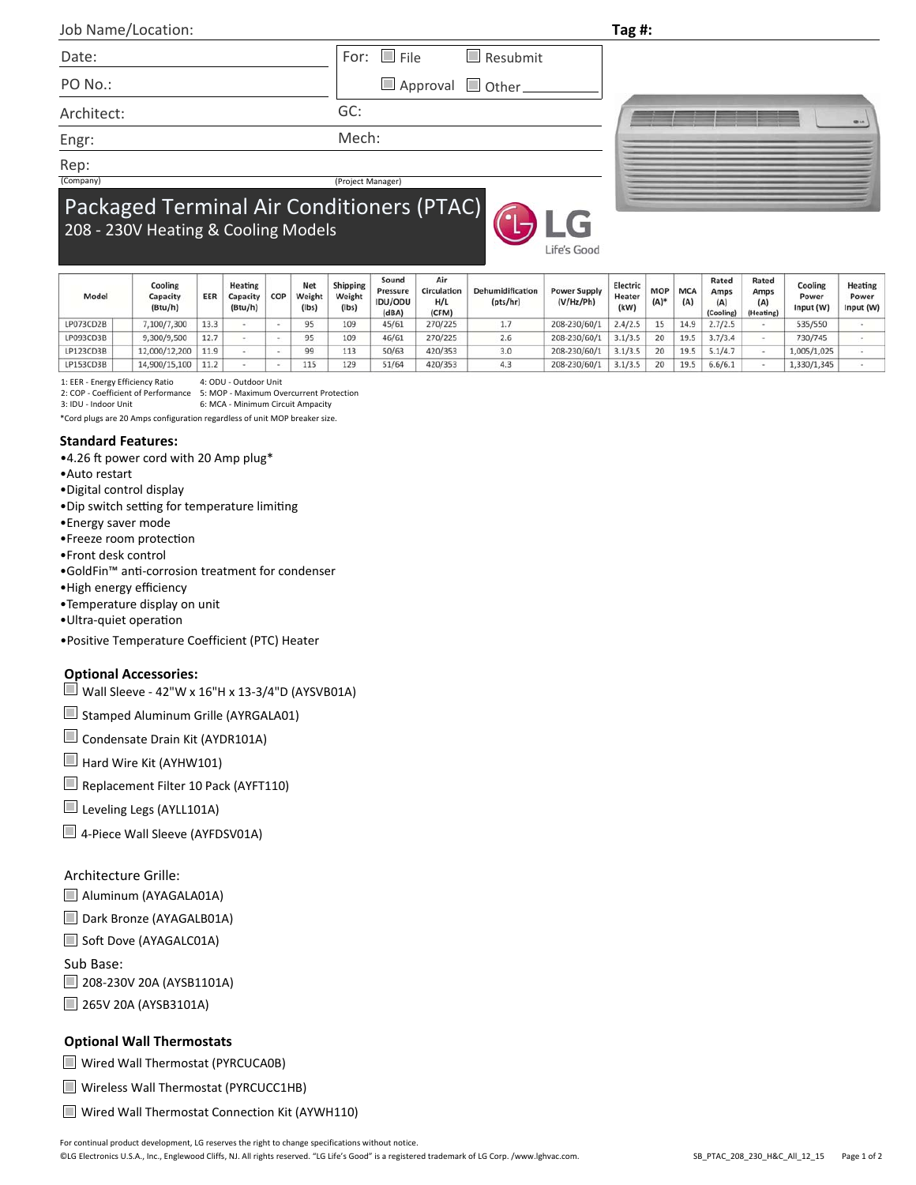| Job Name/Location:                  |                                                  | Tag#: |  |  |  |  |  |  |
|-------------------------------------|--------------------------------------------------|-------|--|--|--|--|--|--|
| Date:                               | For: $\Box$ File<br>$\blacksquare$ Resubmit      |       |  |  |  |  |  |  |
| PO No.:                             | Approval Other                                   |       |  |  |  |  |  |  |
| Architect:                          | GC:                                              |       |  |  |  |  |  |  |
| Engr:                               | Mech:                                            |       |  |  |  |  |  |  |
| Rep:                                |                                                  |       |  |  |  |  |  |  |
| (Company)                           | (Project Manager)                                |       |  |  |  |  |  |  |
| 208 - 230V Heating & Cooling Models | <b>Packaged Terminal Air Conditioners (PTAC)</b> |       |  |  |  |  |  |  |

Life's Good

| Model     | Cooling<br>Capacity<br>(Btu/h) | EER  | Heating<br>Capacity<br>(Btu/h) | COP | Net<br>Weight<br>$($ lbs $)$ | <b>Shipping</b><br>Weight<br>(lbs) | Sound<br>Pressure<br><b>IDU/ODU</b><br>(dBA) | Air<br>Circulation<br>H/L<br>(CFM) | Dehumidification<br>(pts/hr) | <b>Power Supply</b><br>(V/Hz/Ph) | Electric<br>Heater<br>(kW) | <b>MOF</b><br>$(A)^*$ | <b>MCA</b><br>(A) | Rated<br>Amps<br>(A)<br>(Cooling) | Rated<br>Amps<br>(A)<br>(Heating) | Cooling<br>Power<br>Input (W) |
|-----------|--------------------------------|------|--------------------------------|-----|------------------------------|------------------------------------|----------------------------------------------|------------------------------------|------------------------------|----------------------------------|----------------------------|-----------------------|-------------------|-----------------------------------|-----------------------------------|-------------------------------|
| LP073CD2B | 7,100/7,300                    | 13.3 |                                |     | 95                           | 109                                | 45/61                                        | 270/225                            | $\cdots$                     | 208-230/60/1                     | 2.4/2.5                    | 15                    | 14.9              | 2.7/2.5                           |                                   | 535/550                       |
| LP093CD3B | 9,300/9,500                    | 12.7 |                                |     | 95                           | 109                                | 46/61                                        | 270/225                            | 2.6                          | 208-230/60/1                     | 3.1/3.5                    | 20                    | 19.5              | 3.7/3.4                           |                                   | 730/745                       |
| LP123CD3B | 12,000/12,200                  | 11.9 |                                |     | 99                           | 113                                | 50/63                                        | 420/353                            | 3.0                          | 208-230/60/1                     | 3.1/3.5                    | 20                    | 19.5              | 5.1/4.7                           |                                   | 1,005/1,025                   |
| LP153CD3B | 14,900/15,100                  | 11.2 |                                |     | 115                          | 129                                | 51/64                                        | 420/353                            | 4.3                          | 208-230/60/1                     | 3.1/3.5                    | 20                    | 19.5              | 6.6/6.1                           |                                   | 1,330/1,345                   |
|           |                                |      |                                |     |                              |                                    |                                              |                                    |                              |                                  |                            |                       |                   |                                   |                                   |                               |

1: EER ‐ Energy Efficiency Ratio 4: ODU ‐ Outdoor Unit

2: COP ‐ Coefficient of Performance 5: MOP ‐ Maximum Overcurrent Protection

3: IDU ‐ Indoor Unit 6: MCA ‐ Minimum Circuit Ampacity

\*Cord plugs are 20 Amps configuration regardless of unit MOP breaker size.

#### **Standard Features:**

- $•4.26$  ft power cord with 20 Amp plug\*
- •Auto restart
- •Digital control display
- Dip switch setting for temperature limiting
- •Energy saver mode
- •Freeze room protecƟon
- •Front desk control
- •GoldFin<sup>™</sup> anti-corrosion treatment for condenser
- •High energy efficiency
- •Temperature display on unit
- •Ultra‐quiet operaƟon
- •Positive Temperature Coefficient (PTC) Heater

### **Optional Accessories:**

- $\Box$  Wall Sleeve 42"W x 16"H x 13-3/4"D (AYSVB01A)
- Stamped Aluminum Grille (AYRGALA01)
- Condensate Drain Kit (AYDR101A)
- Hard Wire Kit (AYHW101)
- Replacement Filter 10 Pack (AYFT110)
- Leveling Legs (AYLL101A)
- 4-Piece Wall Sleeve (AYFDSV01A)

### Architecture Grille:

- Aluminum (AYAGALA01A)
- Dark Bronze (AYAGALB01A)
- Soft Dove (AYAGALC01A)

Sub Base:

208-230V 20A (AYSB1101A)

265V 20A (AYSB3101A)

#### **Optional Wall Thermostats**

Wired Wall Thermostat (PYRCUCA0B)

- Wireless Wall Thermostat (PYRCUCC1HB)
- Wired Wall Thermostat Connection Kit (AYWH110)

Heating Power

Input (W)